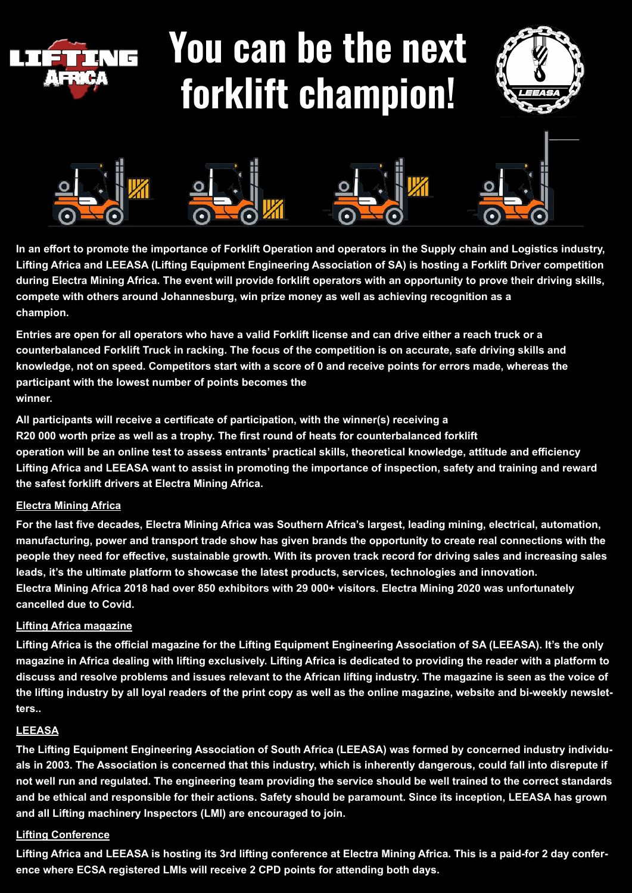

# **You can be the next forklift champion!**





**In an effort to promote the importance of Forklift Operation and operators in the Supply chain and Logistics industry, Lifting Africa and LEEASA (Lifting Equipment Engineering Association of SA) is hosting a Forklift Driver competition during Electra Mining Africa. The event will provide forklift operators with an opportunity to prove their driving skills, compete with others around Johannesburg, win prize money as well as achieving recognition as a champion.**

**Entries are open for all operators who have a valid Forklift license and can drive either a reach truck or a counterbalanced Forklift Truck in racking. The focus of the competition is on accurate, safe driving skills and knowledge, not on speed. Competitors start with a score of 0 and receive points for errors made, whereas the participant with the lowest number of points becomes the winner.**

**All participants will receive a certificate of participation, with the winner(s) receiving a R20 000 worth prize as well as a trophy. The first round of heats for counterbalanced forklift operation will be an online test to assess entrants' practical skills, theoretical knowledge, attitude and efficiency Lifting Africa and LEEASA want to assist in promoting the importance of inspection, safety and training and reward the safest forklift drivers at Electra Mining Africa.**

#### **Electra Mining Africa**

**For the last five decades, Electra Mining Africa was Southern Africa's largest, leading mining, electrical, automation, manufacturing, power and transport trade show has given brands the opportunity to create real connections with the people they need for effective, sustainable growth. With its proven track record for driving sales and increasing sales leads, it's the ultimate platform to showcase the latest products, services, technologies and innovation. Electra Mining Africa 2018 had over 850 exhibitors with 29 000+ visitors. Electra Mining 2020 was unfortunately cancelled due to Covid.** 

#### **Lifting Africa magazine**

**Lifting Africa is the official magazine for the Lifting Equipment Engineering Association of SA (LEEASA). It's the only magazine in Africa dealing with lifting exclusively. Lifting Africa is dedicated to providing the reader with a platform to discuss and resolve problems and issues relevant to the African lifting industry. The magazine is seen as the voice of the lifting industry by all loyal readers of the print copy as well as the online magazine, website and bi-weekly newsletters..**

#### **LEEASA**

**The Lifting Equipment Engineering Association of South Africa (LEEASA) was formed by concerned industry individuals in 2003. The Association is concerned that this industry, which is inherently dangerous, could fall into disrepute if not well run and regulated. The engineering team providing the service should be well trained to the correct standards and be ethical and responsible for their actions. Safety should be paramount. Since its inception, LEEASA has grown and all Lifting machinery Inspectors (LMI) are encouraged to join.**

### **Lifting Conference**

**Lifting Africa and LEEASA is hosting its 3rd lifting conference at Electra Mining Africa. This is a paid-for 2 day conference where ECSA registered LMIs will receive 2 CPD points for attending both days.**